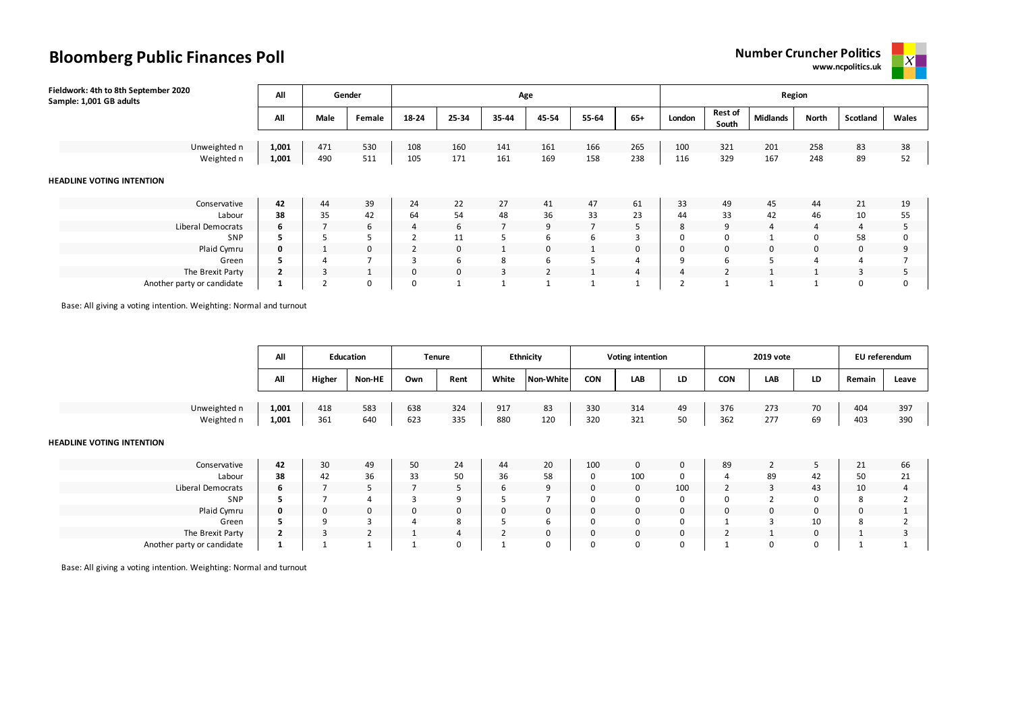



| Fieldwork: 4th to 8th September 2020<br>Sample: 1,001 GB adults | All            |              | Gender |          |          | Age            |                |                |                |        |                         |                 | Region      |          |       |
|-----------------------------------------------------------------|----------------|--------------|--------|----------|----------|----------------|----------------|----------------|----------------|--------|-------------------------|-----------------|-------------|----------|-------|
|                                                                 | All            | Male         | Female | 18-24    | 25-34    | 35-44          | 45-54          | 55-64          | $65+$          | London | <b>Rest of</b><br>South | <b>Midlands</b> | North       | Scotland | Wales |
|                                                                 |                |              |        |          |          |                |                |                |                |        |                         |                 |             |          |       |
| Unweighted n                                                    | 1,001          | 471          | 530    | 108      | 160      | 141            | 161            | 166            | 265            | 100    | 321                     | 201             | 258         | 83       | 38    |
| Weighted n                                                      | 1,001          | 490          | 511    | 105      | 171      | 161            | 169            | 158            | 238            | 116    | 329                     | 167             | 248         | 89       | 52    |
| <b>HEADLINE VOTING INTENTION</b>                                |                |              |        |          |          |                |                |                |                |        |                         |                 |             |          |       |
| Conservative                                                    | 42             | 44           | 39     | 24       | 22       | 27             | 41             | 47             | 61             | 33     | 49                      | 45              | 44          | 21       | 19    |
| Labour                                                          | 38             | 35           | 42     | 64       | 54       | 48             | 36             | 33             | 23             | 44     | 33                      | 42              | 46          | 10       | 55    |
| Liberal Democrats                                               | 6              |              | 6      | 4        | 6        | $\overline{7}$ | 9              | $\overline{7}$ | 5              | 8      | 9                       | 4               | 4           | 4        |       |
| <b>SNP</b>                                                      |                |              | 5      |          | 11       | 5.             | 6              | 6              | $\overline{3}$ | 0      | 0                       | $\overline{ }$  | $\Omega$    | 58       |       |
| Plaid Cymru                                                     | 0              |              | 0      |          | 0        | 1              | 0              |                | $\mathbf 0$    | 0      | 0                       | 0               | $\mathbf 0$ | 0        | a     |
| Green                                                           |                |              |        |          | 6        | 8              | 6              | 5              | $\overline{4}$ | 9      | 6                       | 5               |             | 4        |       |
| The Brexit Party                                                | $\overline{2}$ | $\mathbf{3}$ |        | $\Omega$ | $\Omega$ | 3              | $\overline{2}$ | -1             | $\overline{4}$ |        | $\overline{2}$          |                 |             | 3        |       |
| Another party or candidate                                      |                |              | 0      | 0        |          |                |                |                |                |        |                         |                 |             |          |       |

Base: All giving a voting intention. Weighting: Normal and turnout

|                                  | All          |        | <b>Education</b> |     | <b>Tenure</b> |                | <b>Ethnicity</b>    |             | <b>Voting intention</b> |              |            | 2019 vote  |             | EU referendum |       |
|----------------------------------|--------------|--------|------------------|-----|---------------|----------------|---------------------|-------------|-------------------------|--------------|------------|------------|-------------|---------------|-------|
|                                  | All          | Higher | Non-HE           | Own | Rent          | White          | <b>Non-White</b>    | CON         | LAB                     | LD           | <b>CON</b> | <b>LAB</b> | LD          | Remain        | Leave |
|                                  |              |        |                  |     |               |                |                     |             |                         |              |            |            |             |               |       |
| Unweighted n                     | 1,001        | 418    | 583              | 638 | 324           | 917            | 83                  | 330         | 314                     | 49           | 376        | 273        | 70          | 404           | 397   |
| Weighted n                       | 1,001        | 361    | 640              | 623 | 335           | 880            | 120                 | 320         | 321                     | 50           | 362        | 277        | 69          | 403           | 390   |
| <b>HEADLINE VOTING INTENTION</b> | 42           |        |                  |     |               |                |                     |             |                         |              |            |            |             |               |       |
| Conservative                     |              | 30     | 49               | 50  | 24            | 44             | 20                  | 100         | $\mathbf 0$             | $\mathbf{0}$ | 89         | 2          | 5           | 21            | 66    |
| Labour                           | 38           | 42     | 36               | 33  | 50            | 36             | 58                  | $\mathbf 0$ | 100                     | 0            | 4          | 89         | 42          | 50            | 21    |
| Liberal Democrats                | 6            |        | 5                |     | 5             | 6              | 9<br>$\overline{ }$ | $\mathsf 0$ | 0                       | 100          |            | 3          | 43          | 10            | 4     |
| SNP                              | 5            |        | $\overline{a}$   |     | 9             | 5              |                     | $\mathbf 0$ | 0                       | 0            |            |            | 0           | 8             |       |
| Plaid Cymru                      | 0            | 0      | $\mathbf 0$      | 0   | 0             | $\mathbf 0$    | 0                   | $\mathbf 0$ | 0                       | $\mathbf{0}$ |            | 0          | $\mathbf 0$ | 0             |       |
| Green                            | 5            | 9      | $\overline{3}$   |     | 8             | כ              | 6                   | $\mathbf 0$ | 0                       | 0            |            | з          | 10          | 8             |       |
| The Brexit Party                 | $\mathbf{2}$ | 3      | $\overline{2}$   |     | 4             | $\overline{2}$ | 0                   | $\mathbf 0$ | 0                       | 0            |            |            | $\mathbf 0$ |               |       |
| Another party or candidate       | 1            |        |                  |     | 0             | $\mathbf{1}$   | 0                   | $\mathbf 0$ | 0                       | 0            |            | 0          | 0           |               |       |

Base: All giving a voting intention. Weighting: Normal and turnout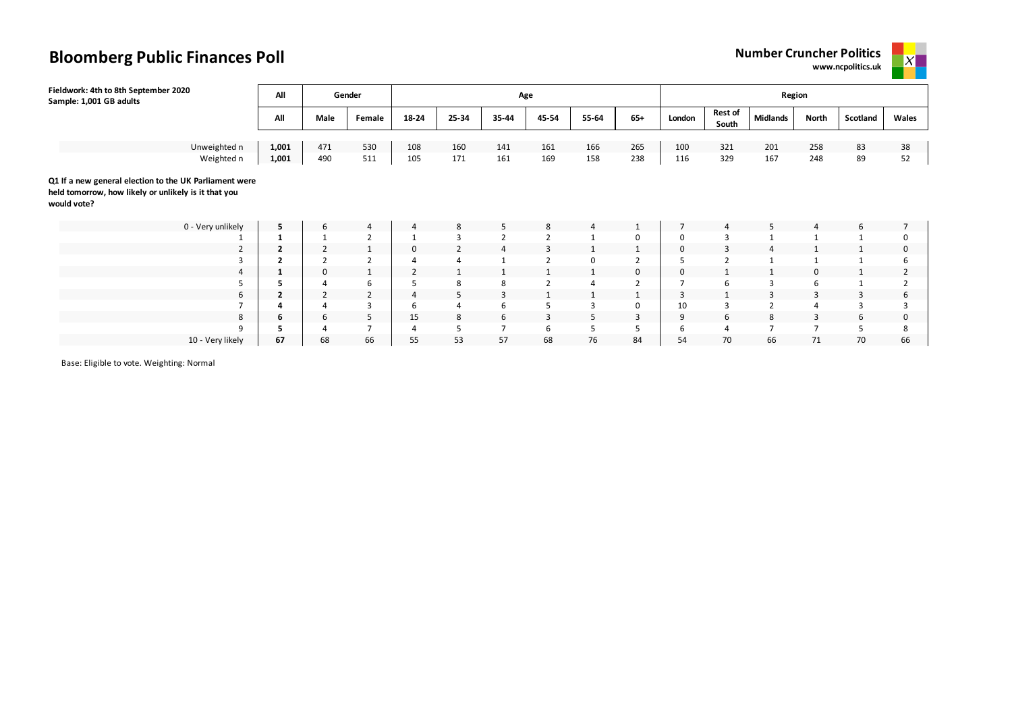



| Fieldwork: 4th to 8th September 2020<br>Sample: 1,001 GB adults                                                               | All          |                | Gender         |                |                | Age            |                |                |                |             |                  | Region          |              |          |                     |
|-------------------------------------------------------------------------------------------------------------------------------|--------------|----------------|----------------|----------------|----------------|----------------|----------------|----------------|----------------|-------------|------------------|-----------------|--------------|----------|---------------------|
|                                                                                                                               | All          | Male           | Female         | 18-24          | 25-34          | 35-44          | 45-54          | 55-64          | $65+$          | London      | Rest of<br>South | <b>Midlands</b> | <b>North</b> | Scotland | Wales               |
| Unweighted n                                                                                                                  | 1,001        | 471            | 530            | 108            | 160            | 141            | 161            | 166            | 265            | 100         | 321              | 201             | 258          | 83       | 38                  |
| Weighted n                                                                                                                    | 1,001        | 490            | 511            | 105            | 171            | 161            | 169            | 158            | 238            | 116         | 329              | 167             | 248          | 89       | 52                  |
| Q1 If a new general election to the UK Parliament were<br>held tomorrow, how likely or unlikely is it that you<br>would vote? |              |                |                |                |                |                |                |                |                |             |                  |                 |              |          |                     |
| 0 - Very unlikely                                                                                                             | 5.           | 6              | 4              | 4              | 8              | 5              | 8              | 4              |                |             | $\overline{4}$   | 5               | 4            | 6        | $\overline{7}$      |
|                                                                                                                               |              |                | $\overline{2}$ |                | $\overline{3}$ | $\overline{2}$ | $\overline{2}$ | $\mathbf{1}$   | 0              | $\Omega$    | 3                |                 |              |          | 0                   |
| $\overline{2}$                                                                                                                | 2            | $\overline{2}$ | 1              | $\Omega$       |                | $\overline{4}$ | $\overline{3}$ | 1              | Ŧ              | $\mathbf 0$ | 3                | $\overline{4}$  |              |          | 0                   |
| 3                                                                                                                             | $\mathbf{2}$ | $\overline{2}$ | $\overline{2}$ |                |                |                | $\overline{2}$ | $\mathbf 0$    | $\overline{2}$ | כ           | $\overline{2}$   |                 |              |          | 6                   |
| 4                                                                                                                             | 1            | 0              | 1              | $\overline{2}$ |                |                | 1              | 1              | 0              | $\mathbf 0$ |                  |                 | 0            |          | 2                   |
| 5                                                                                                                             |              |                | 6              |                | 8              | 8              | $\overline{2}$ | $\overline{4}$ | $\overline{2}$ | -           | 6                | 3               | 6            |          | $\overline{2}$      |
| 6                                                                                                                             | $\mathbf{2}$ | $\overline{2}$ | $\overline{2}$ | 4              | 5              | 3              | 1              | $\mathbf{1}$   | T.             | 3           |                  | 3               | 3            | 3        | 6                   |
| $\overline{ }$                                                                                                                |              |                | 3              | 6              |                | 6              | 5              | 3              | 0              | 10          | 3                | $\overline{2}$  | 4            | 3        | 3                   |
| 8                                                                                                                             | 6            | 6              | 5              | 15             | 8              | 6              | $\overline{3}$ | 5              | 3              | 9           | 6                | 8               | 3            | 6        | $\mathsf{O}\xspace$ |
| 9                                                                                                                             | э            |                |                | $\overline{a}$ |                | $\overline{7}$ | 6              | 5              | 5              | 6           | 4                |                 |              |          | 8                   |
| 10 - Very likely                                                                                                              | 67           | 68             | 66             | 55             | 53             | 57             | 68             | 76             | 84             | 54          | 70               | 66              | 71           | 70       | 66                  |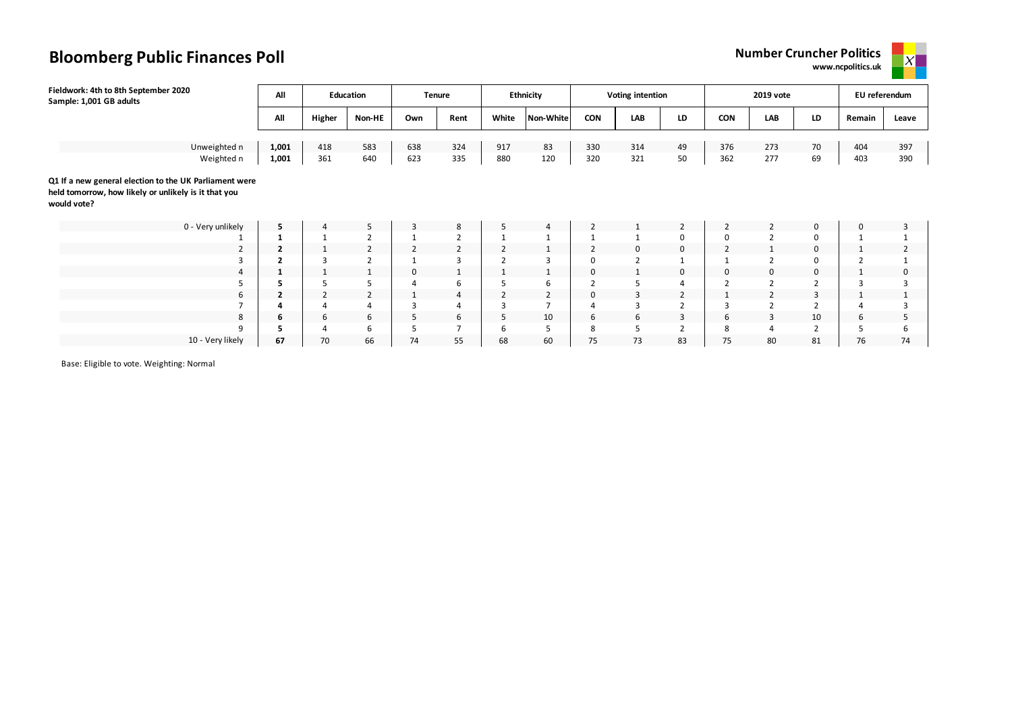**www.ncpolitics.uk**



| Fieldwork: 4th to 8th September 2020<br>Sample: 1,001 GB adults                                                               | All   |                | Education      | Tenure |                |                | Ethnicity      |                | <b>Voting intention</b> |                |                | 2019 vote      |                | EU referendum |                |
|-------------------------------------------------------------------------------------------------------------------------------|-------|----------------|----------------|--------|----------------|----------------|----------------|----------------|-------------------------|----------------|----------------|----------------|----------------|---------------|----------------|
|                                                                                                                               | All   | Higher         | Non-HE         | Own    | Rent           | White          | Non-White      | <b>CON</b>     | <b>LAB</b>              | LD             | <b>CON</b>     | LAB            | LD             | Remain        | Leave          |
|                                                                                                                               |       |                |                |        |                |                |                |                |                         |                |                |                |                |               |                |
| Unweighted n                                                                                                                  | 1,001 | 418            | 583            | 638    | 324            | 917            | 83             | 330            | 314                     | 49             | 376            | 273            | 70             | 404           | 397            |
| Weighted n                                                                                                                    | 1,001 | 361            | 640            | 623    | 335            | 880            | 120            | 320            | 321                     | 50             | 362            | 277            | 69             | 403           | 390            |
| Q1 If a new general election to the UK Parliament were<br>held tomorrow, how likely or unlikely is it that you<br>would vote? |       |                |                |        |                |                |                |                |                         |                |                |                |                |               |                |
| 0 - Very unlikely                                                                                                             | 5     | $\overline{4}$ | 5              | 3      | 8              | 5              | 4              | $\overline{2}$ |                         | $\overline{2}$ | $\overline{2}$ | 2              | 0              | 0             | 3              |
|                                                                                                                               |       |                | $\overline{2}$ |        | $\overline{2}$ |                |                |                |                         | 0              | 0              | $\overline{2}$ | 0              |               |                |
| $\overline{2}$                                                                                                                | 2     |                | 2              | 2      | $\overline{2}$ | $\overline{2}$ | $\mathbf{1}$   | $\overline{2}$ | 0                       | 0              | $\overline{2}$ |                | 0              |               | $\overline{2}$ |
|                                                                                                                               |       | 3              | $\overline{2}$ |        |                | $\overline{2}$ | 3              | 0              | $\overline{2}$          |                |                | $\overline{2}$ | 0              |               |                |
|                                                                                                                               | 1     |                | 1              | 0      |                |                | $\mathbf{1}$   | 0              | 1                       | 0              | 0              | 0              | 0              |               | 0              |
| כ                                                                                                                             |       | 5              | 5              |        | 6              | 5              | 6              | $\overline{2}$ | 5                       | $\overline{4}$ | $\overline{2}$ | $\overline{2}$ | $\overline{2}$ | 3             | 3              |
| 6                                                                                                                             | 2     | $\overline{2}$ | $\overline{2}$ |        | 4              | 2              | $\overline{2}$ | 0              | 3                       | $\overline{2}$ |                | 2              | 3              |               | $\mathbf{1}$   |
|                                                                                                                               |       |                | 4              |        | 4              | 3              | $\overline{7}$ |                | 3                       | $\overline{2}$ |                | $\overline{2}$ | 2              |               | 3              |
| 8                                                                                                                             | 6     | 6              | 6              | 5      | 6              | 5              | 10             | 6              | 6                       | 3              | 6              | 3              | 10             | 6             | 5              |
| 9                                                                                                                             |       |                | 6              | 5      |                | 6              | 5              | 8              | 5                       | $\overline{2}$ | 8              | 4              | 2              |               | 6              |
| 10 - Very likely                                                                                                              | 67    | 70             | 66             | 74     | 55             | 68             | 60             | 75             | 73                      | 83             | 75             | 80             | 81             | 76            | 74             |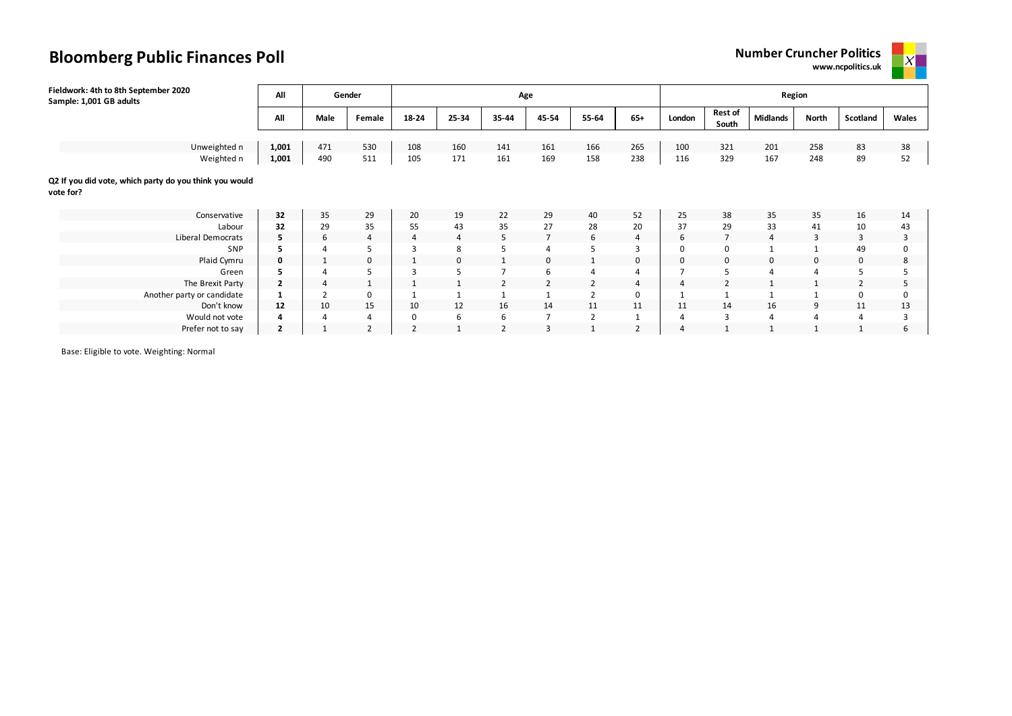



| Fieldwork: 4th to 8th September 2020<br>Sample: 1,001 GB adults     | All            |      | Gender       |                |          | Age            |                |                |                |                |                         | Region          |              |          |       |
|---------------------------------------------------------------------|----------------|------|--------------|----------------|----------|----------------|----------------|----------------|----------------|----------------|-------------------------|-----------------|--------------|----------|-------|
|                                                                     | All            | Male | Female       | 18-24          | 25-34    | 35-44          | 45-54          | 55-64          | $65+$          | London         | <b>Rest of</b><br>South | <b>Midlands</b> | <b>North</b> | Scotland | Wales |
|                                                                     |                |      |              |                |          |                |                |                |                |                |                         |                 |              |          |       |
| Unweighted n                                                        | 1,001          | 471  | 530          | 108            | 160      | 141            | 161            | 166            | 265            | 100            | 321                     | 201             | 258          | 83       | 38    |
| Weighted n                                                          | 1,001          | 490  | 511          | 105            | 171      | 161            | 169            | 158            | 238            | 116            | 329                     | 167             | 248          | 89       | 52    |
| Q2 If you did vote, which party do you think you would<br>vote for? |                |      |              |                |          |                |                |                |                |                |                         |                 |              |          |       |
| Conservative                                                        | 32             | 35   | 29           | 20             | 19       | 22             | 29             | 40             | 52             | 25             | 38                      | 35              | 35           | 16       | 14    |
| Labour                                                              | 32             | 29   | 35           | 55             | 43       | 35             | 27             | 28             | 20             | 37             | 29                      | 33              | 41           | 10       | 43    |
| Liberal Democrats                                                   | 5              | 6    | 4            | 4              | 4        | 5              | $\overline{7}$ | 6              | 4              | 6              | 7                       | 4               | 3            | 3        | 3     |
| SNP                                                                 | 5              |      | 5            |                | 8        | 5              | 4              | 5              | 3              | 0              | 0                       |                 |              | 49       | 0     |
| Plaid Cymru                                                         | 0              |      | 0            |                | $\Omega$ |                | $\mathbf 0$    | $\mathbf{1}$   | 0              | 0              | 0                       | $\mathbf 0$     | 0            | 0        | 8     |
| Green                                                               | 5              |      | 5            |                |          | $\overline{7}$ | 6              | $\overline{4}$ | 4              | ٠              | 5                       |                 |              |          | 5     |
| The Brexit Party                                                    | $\mathbf{2}$   | 4    | $\mathbf{1}$ |                |          | $\overline{2}$ | $\overline{2}$ | $\overline{2}$ | 4              | $\overline{4}$ |                         |                 |              |          | 5     |
| Another party or candidate                                          |                |      | $\mathbf 0$  |                |          |                | $\mathbf{A}$   | $\overline{2}$ | 0              |                |                         |                 |              | $\Omega$ | 0     |
| Don't know                                                          | 12             | 10   | 15           | 10             | 12       | 16             | 14             | 11             | 11             | 11             | 14                      | 16              | 9            | 11       | 13    |
| Would not vote                                                      |                |      | 4            | 0              | 6        | 6              | $\overline{7}$ | $\overline{2}$ |                | 4              | 3                       | 4               | 4            | 4        | 3     |
| Prefer not to say                                                   | $\overline{2}$ |      | 2            | $\overline{2}$ |          | 2              | 3              |                | $\overline{2}$ | 4              |                         |                 |              |          | 6     |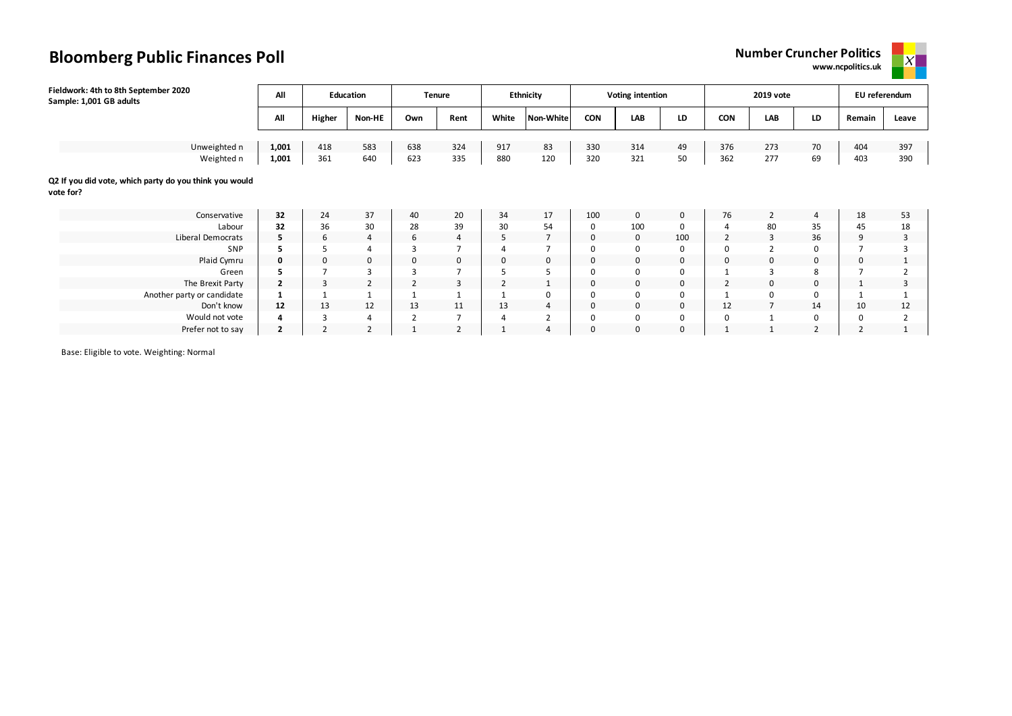**www.ncpolitics.uk**



| Fieldwork: 4th to 8th September 2020<br>Sample: 1,001 GB adults     | All            |                | <b>Education</b> |                | <b>Tenure</b>  |                | <b>Ethnicity</b> |             | <b>Voting intention</b> |             |                | 2019 vote      |                | EU referendum |       |
|---------------------------------------------------------------------|----------------|----------------|------------------|----------------|----------------|----------------|------------------|-------------|-------------------------|-------------|----------------|----------------|----------------|---------------|-------|
|                                                                     | All            | Higher         | Non-HE           | Own            | Rent           | White          | <b>Non-White</b> | <b>CON</b>  | <b>LAB</b>              | LD          | <b>CON</b>     | LAB            | LD             | Remain        | Leave |
|                                                                     |                |                |                  |                |                |                |                  |             |                         |             |                |                |                |               |       |
| Unweighted n                                                        | 1,001          | 418            | 583              | 638            | 324            | 917            | 83               | 330         | 314                     | 49          | 376            | 273            | 70             | 404           | 397   |
| Weighted n                                                          | 1,001          | 361            | 640              | 623            | 335            | 880            | 120              | 320         | 321                     | 50          | 362            | 277            | 69             | 403           | 390   |
| Q2 If you did vote, which party do you think you would<br>vote for? |                |                |                  |                |                |                |                  |             |                         |             |                |                |                |               |       |
| Conservative                                                        | 32             | 24             | 37               | 40             | 20             | 34             | 17               | 100         | $\mathsf{O}$            | $\mathbf 0$ | 76             | 2              | $\overline{4}$ | 18            | 53    |
| Labour                                                              | 32             | 36             | 30               | 28             | 39             | 30             | 54               | 0           | 100                     | 0           | 4              | 80             | 35             | 45            | 18    |
| Liberal Democrats                                                   | 5.             | 6              | $\overline{4}$   | 6              | 4              | 5              | $\overline{7}$   | $\mathbf 0$ | $\mathbf 0$             | 100         | $\overline{2}$ | 3              | 36             | 9             | 3     |
| <b>SNP</b>                                                          | ь.             |                |                  | 3              |                |                |                  | 0           | $\mathbf 0$             | 0           | 0              |                | $\Omega$       |               |       |
| Plaid Cymru                                                         | 0              | $\mathbf 0$    | 0                | 0              | 0              | 0              | 0                | $\mathbf 0$ | $\mathsf 0$             | 0           | 0              | 0              | 0              | 0             |       |
| Green                                                               |                |                |                  | 3              |                |                |                  | $\mathbf 0$ | $\mathsf 0$             | 0           |                | 3              | 8              |               |       |
| The Brexit Party                                                    | $\mathbf{2}$   | $\overline{3}$ | $\overline{2}$   | $\overline{2}$ | 3              | $\overline{2}$ |                  | 0           | $\mathbf 0$             | 0           | $\overline{2}$ | $\mathbf 0$    | 0              |               | 3     |
| Another party or candidate                                          |                |                |                  |                |                |                | 0                | $\mathbf 0$ | $\mathbf 0$             | 0           |                | 0              | 0              |               |       |
| Don't know                                                          | 12             | 13             | 12               | 13             | 11             | 13             | $\overline{4}$   | $\mathbf 0$ | $\mathbf 0$             | 0           | 12             | $\overline{7}$ | 14             | 10            | 12    |
| Would not vote                                                      |                |                | $\overline{4}$   | $\overline{2}$ | 7              | 4              | 2                | 0           | $\mathsf 0$             | 0           | 0              | $\mathbf{1}$   | 0              | $\Omega$      |       |
| Prefer not to say                                                   | $\overline{2}$ |                | $\overline{2}$   |                | $\overline{2}$ | ٠              | $\overline{4}$   | $\mathbf 0$ | $\mathbf 0$             | 0           |                | 1              | $\overline{2}$ |               |       |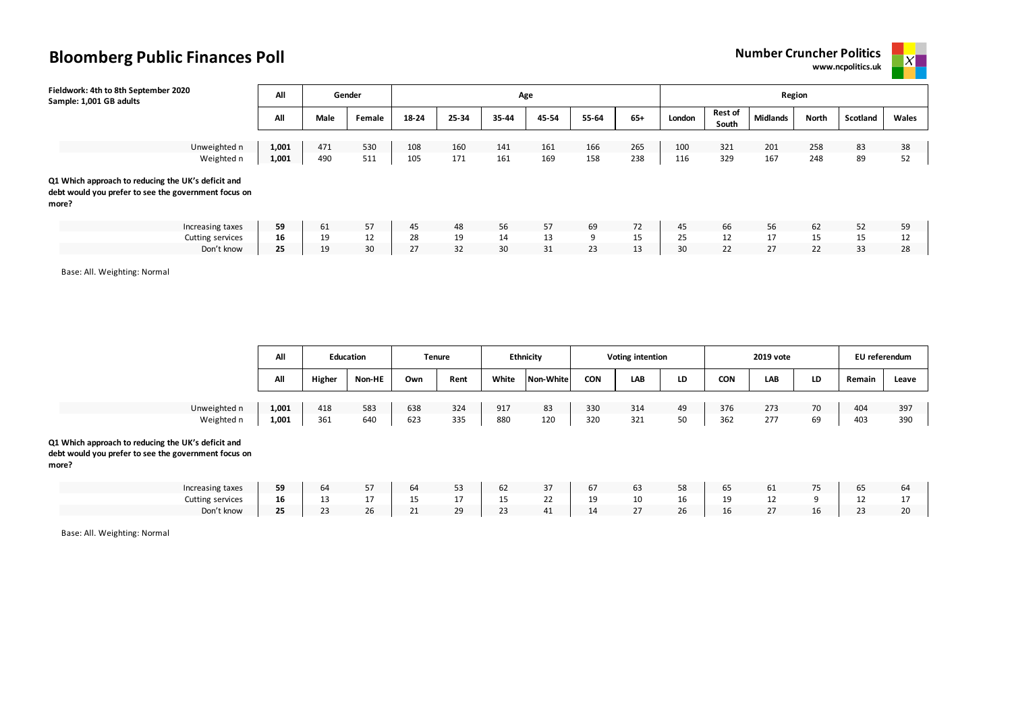



| Fieldwork: 4th to 8th September 2020<br>Sample: 1,001 GB adults                                                     | All            |            | Gender     |            |            | Age        |            |            |            |            |                         | Region          |            |          |          |
|---------------------------------------------------------------------------------------------------------------------|----------------|------------|------------|------------|------------|------------|------------|------------|------------|------------|-------------------------|-----------------|------------|----------|----------|
|                                                                                                                     | All            | Male       | Female     | 18-24      | 25-34      | 35-44      | 45-54      | 55-64      | $65+$      | London     | <b>Rest of</b><br>South | <b>Midlands</b> | North      | Scotland | Wales    |
| Unweighted n<br>Weighted n                                                                                          | 1,001<br>1,001 | 471<br>490 | 530<br>511 | 108<br>105 | 160<br>171 | 141<br>161 | 161<br>169 | 166<br>158 | 265<br>238 | 100<br>116 | 321<br>329              | 201<br>167      | 258<br>248 | 83<br>89 | 38<br>52 |
| Q1 Which approach to reducing the UK's deficit and<br>debt would you prefer to see the government focus on<br>more? |                |            |            |            |            |            |            |            |            |            |                         |                 |            |          |          |
| Increasing taxes<br>Cutting services                                                                                | 59<br>16       | 61<br>19   | 57<br>12   | 45<br>28   | 48<br>19   | 56<br>14   | 57<br>13   | 69<br>9    | 72<br>15   | 45<br>25   | 66<br>12                | 56<br>17        | 62<br>15   | 52<br>15 | 59<br>12 |
| Don't know                                                                                                          | 25             | 19         | 30         | 27         | 32         | 30         | 31         | 23         | 13         | 30         | 22                      | 27              | 22         | 33       | 28       |

Base: All. Weighting: Normal

|              | All   |        | <b>Education</b> |     | <b>Tenure</b> |       | <b>Ethnicity</b> |            | Voting intention |    |     | 2019 vote |    | EU referendum |       |
|--------------|-------|--------|------------------|-----|---------------|-------|------------------|------------|------------------|----|-----|-----------|----|---------------|-------|
|              | All   | Higher | <b>Non-HE</b>    | Own | Rent          | White | Non-White        | <b>CON</b> | LAB              | LD | CON | LAB       | LD | Remair        | Leave |
|              |       |        |                  |     |               |       |                  |            |                  |    |     |           |    |               |       |
| Unweighted n | 1,001 | 418    | 583              | 638 | 324           | 917   | 83               | 330        | 314              | 49 | 376 | 273       | 70 | 404           | 397   |
| Weighted n   | 1,001 | 361    | 640              | 623 | 335           | 880   | 120              | 320        | 321              | 50 | 362 | 277       | 69 | 403           | 390   |

#### **Q1 Which approach to reducing the UK's deficit and**

**debt would you prefer to see the government focus on more?**

| Increasing taxes | -0 | -64          | $ -$<br>$\mathcal{L}$          | 64                         | $-1$<br>--                  | $\sim$<br>σZ         | $\sim$<br>31    | n/ | 63     | $\Gamma$     | כס      | υ⊥            | $-1$        |    | n4    |
|------------------|----|--------------|--------------------------------|----------------------------|-----------------------------|----------------------|-----------------|----|--------|--------------|---------|---------------|-------------|----|-------|
| Cutting services |    | $\sim$<br>-- | $\sim$<br><b>L</b>             | $\sim$ $\sim$<br>--        | $\overline{a}$<br><b>LI</b> | <b>15</b><br>--      | າາ<br><u>__</u> | 10 | 10     | $\sim$<br>16 | <b></b> | ᅩᄼ            |             | -- |       |
| Don't know       |    | $\sim$       | $\overline{\phantom{a}}$<br>Zb | $\mathbf{a}$<br><u>_ _</u> | 29<br>້                     | $\sim$<br><u>. .</u> | A<br>ப<br>┄     |    | $\sim$ | $\sim$<br>,n | TΩ      | $\mathcal{L}$ | $\sim$<br>ᅩ |    | 7 I J |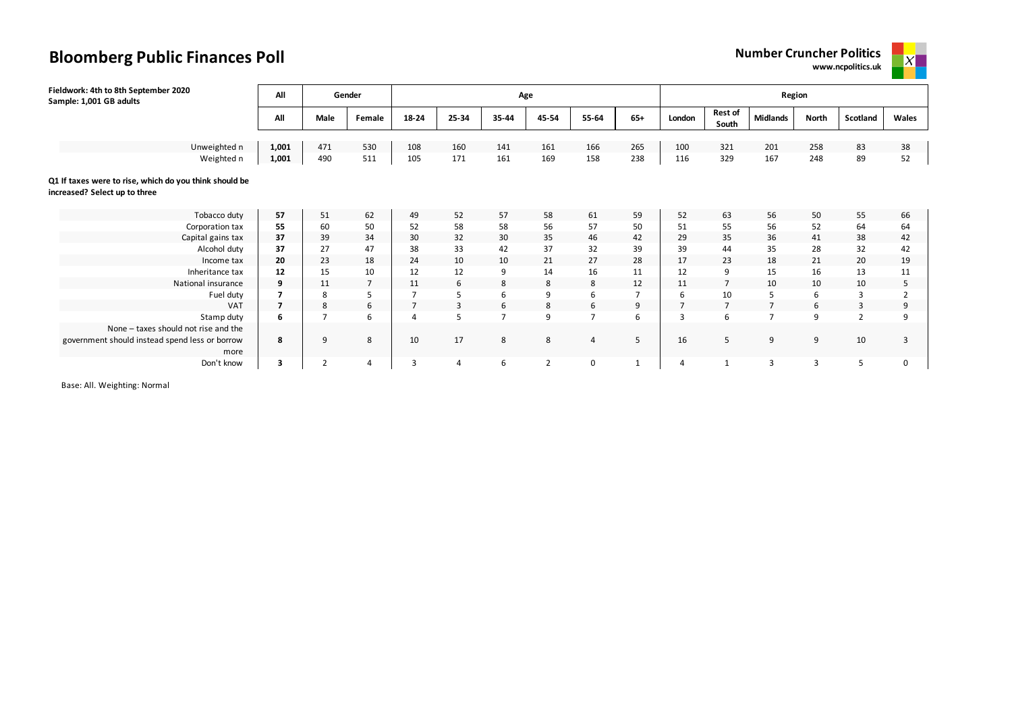## **Bloomberg Public Finances Poll Number Cruncher Politics Number Cruncher Politics**





| Fieldwork: 4th to 8th September 2020<br>Sample: 1,001 GB adults                         | All   |                | Gender         |                |       | Age                      |                |                |                |                |                         | Region          |       |                |          |
|-----------------------------------------------------------------------------------------|-------|----------------|----------------|----------------|-------|--------------------------|----------------|----------------|----------------|----------------|-------------------------|-----------------|-------|----------------|----------|
|                                                                                         | All   | Male           | Female         | 18-24          | 25-34 | $35 - 44$                | 45-54          | 55-64          | $65+$          | London         | <b>Rest of</b><br>South | <b>Midlands</b> | North | Scotland       | Wales    |
| Unweighted n                                                                            | 1,001 | 471            | 530            | 108            | 160   | 141                      | 161            | 166            | 265            | 100            | 321                     | 201             | 258   | 83             | 38       |
| Weighted n                                                                              | 1,001 | 490            | 511            | 105            | 171   | 161                      | 169            | 158            | 238            | 116            | 329                     | 167             | 248   | 89             | 52       |
| Q1 If taxes were to rise, which do you think should be<br>increased? Select up to three |       |                |                |                |       |                          |                |                |                |                |                         |                 |       |                |          |
| Tobacco duty                                                                            | 57    | 51             | 62             | 49             | 52    | 57                       | 58             | 61             | 59             | 52             | 63                      | 56              | 50    | 55             | 66       |
| Corporation tax                                                                         | 55    | 60             | 50             | 52             | 58    | 58                       | 56             | 57             | 50             | 51             | 55                      | 56              | 52    | 64             | 64       |
| Capital gains tax                                                                       | 37    | 39             | 34             | 30             | 32    | 30                       | 35             | 46             | 42             | 29             | 35                      | 36              | 41    | 38             | 42       |
| Alcohol duty                                                                            | 37    | 27             | 47             | 38             | 33    | 42                       | 37             | 32             | 39             | 39             | 44                      | 35              | 28    | 32             | 42       |
| Income tax                                                                              | 20    | 23             | 18             | 24             | 10    | 10                       | 21             | 27             | 28             | 17             | 23                      | 18              | 21    | 20             | 19       |
| Inheritance tax                                                                         | 12    | 15             | 10             | 12             | 12    | 9                        | 14             | 16             | 11             | 12             | 9                       | 15              | 16    | 13             | 11       |
| National insurance                                                                      | 9     | 11             | $\overline{7}$ | 11             | 6     | 8                        | 8              | 8              | 12             | 11             | $\overline{7}$          | 10              | 10    | 10             | 5        |
| Fuel duty                                                                               |       | 8              | 5              |                |       |                          | 9              | 6              | $\overline{7}$ | 6              | 10                      | 5               | 6     | $\overline{3}$ |          |
| <b>VAT</b>                                                                              |       | 8              | 6              | $\overline{7}$ | 3     | 6                        | 8              | 6              | 9              | $\overline{7}$ | $\overline{7}$          | $\overline{7}$  | 6     | 3              | 9        |
| Stamp duty                                                                              | 6     | $\overline{7}$ | 6              | 4              | 5     | $\overline{\phantom{a}}$ | 9              | $\overline{ }$ | 6              | 3              | 6                       | $\overline{7}$  | 9     | $\overline{2}$ | q        |
| None - taxes should not rise and the                                                    |       |                |                |                |       |                          |                |                |                |                |                         |                 |       |                |          |
| government should instead spend less or borrow<br>more                                  | 8     | 9              | 8              | 10             | 17    | 8                        | 8              | $\overline{4}$ | 5              | 16             | 5                       | 9               | 9     | 10             | 3        |
| Don't know                                                                              | 3     | $\overline{2}$ | $\overline{4}$ | 3              | Δ     | 6                        | $\overline{2}$ | $\mathbf 0$    | $\mathbf{1}$   | 4              | $\mathbf{1}$            | 3               | 3     |                | $\Omega$ |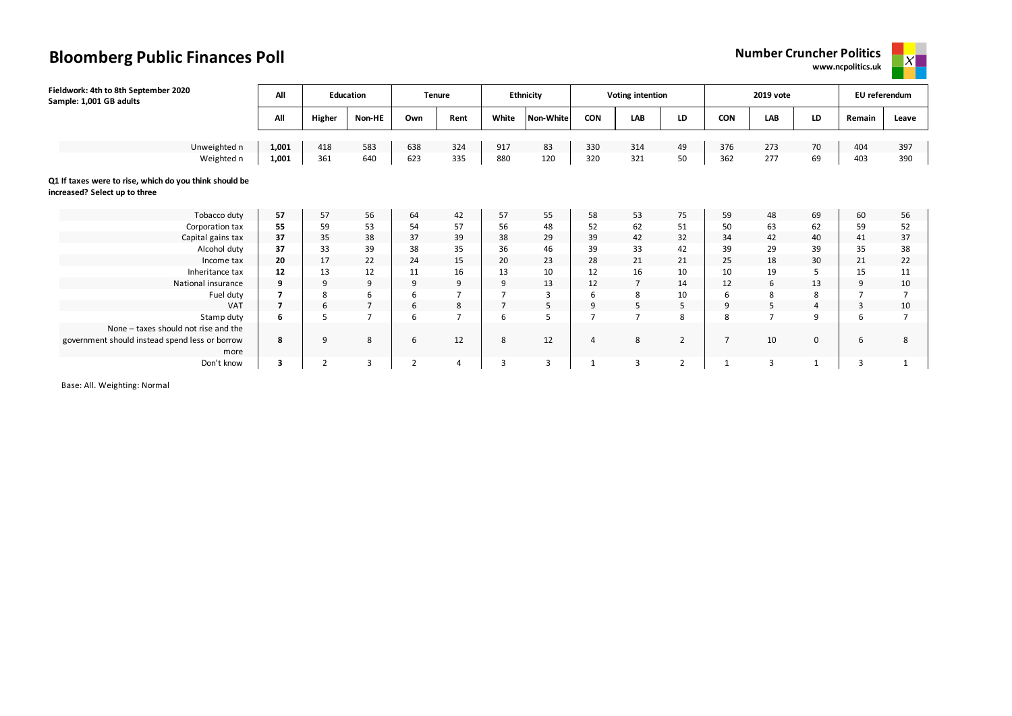## **Bloomberg Public Finances Poll Number Cruncher Politics Number Cruncher Politics**

**www.ncpolitics.uk**



| Fieldwork: 4th to 8th September 2020<br>Sample: 1,001 GB adults                         | All   |                | <b>Education</b> |                | <b>Tenure</b>  |                | <b>Ethnicity</b> |                | <b>Voting intention</b> |                |                | 2019 vote      |                | EU referendum |                |
|-----------------------------------------------------------------------------------------|-------|----------------|------------------|----------------|----------------|----------------|------------------|----------------|-------------------------|----------------|----------------|----------------|----------------|---------------|----------------|
|                                                                                         | All   | Higher         | Non-HE           | Own            | Rent           | White          | Non-White        | <b>CON</b>     | <b>LAB</b>              | LD             | <b>CON</b>     | LAB            | LD             | Remain        | Leave          |
|                                                                                         |       |                |                  |                |                |                |                  |                |                         |                |                |                |                |               |                |
| Unweighted n                                                                            | 1,001 | 418            | 583              | 638            | 324            | 917            | 83               | 330            | 314                     | 49             | 376            | 273            | 70             | 404           | 397            |
| Weighted n                                                                              | 1,001 | 361            | 640              | 623            | 335            | 880            | 120              | 320            | 321                     | 50             | 362            | 277            | 69             | 403           | 390            |
| Q1 If taxes were to rise, which do you think should be<br>increased? Select up to three |       |                |                  |                |                |                |                  |                |                         |                |                |                |                |               |                |
| Tobacco duty                                                                            | 57    | 57             | 56               | 64             | 42             | 57             | 55               | 58             | 53                      | 75             | 59             | 48             | 69             | 60            | 56             |
| Corporation tax                                                                         | 55    | 59             | 53               | 54             | 57             | 56             | 48               | 52             | 62                      | 51             | 50             | 63             | 62             | 59            | 52             |
| Capital gains tax                                                                       | 37    | 35             | 38               | 37             | 39             | 38             | 29               | 39             | 42                      | 32             | 34             | 42             | 40             | 41            | 37             |
| Alcohol duty                                                                            | 37    | 33             | 39               | 38             | 35             | 36             | 46               | 39             | 33                      | 42             | 39             | 29             | 39             | 35            | 38             |
| Income tax                                                                              | 20    | 17             | 22               | 24             | 15             | 20             | 23               | 28             | 21                      | 21             | 25             | 18             | 30             | 21            | 22             |
| Inheritance tax                                                                         | 12    | 13             | 12               | 11             | 16             | 13             | 10               | 12             | 16                      | 10             | 10             | 19             | 5              | 15            | 11             |
| National insurance                                                                      | 9     | 9              | 9                | 9              | 9              | 9              | 13               | 12             | $\overline{7}$          | 14             | 12             | 6              | 13             | 9             | 10             |
| Fuel duty                                                                               |       | 8              | 6                | ь              | $\overline{ }$ |                | 3                | 6              | 8                       | 10             | 6              | 8              | 8              |               | $\overline{ }$ |
| <b>VAT</b>                                                                              |       | 6              | $\overline{7}$   | 6              | 8              | $\overline{7}$ | 5                | 9              | 5                       | 5              | 9              | 5              | $\overline{4}$ | 3             | 10             |
| Stamp duty                                                                              | 6     | 5              | $\overline{7}$   | 6              | $\overline{ }$ | 6              | 5                | $\overline{7}$ | $\overline{7}$          | 8              | 8              | $\overline{ }$ | 9              | 6             | 7              |
| None - taxes should not rise and the                                                    |       |                |                  |                |                |                |                  |                |                         |                |                |                |                |               |                |
| government should instead spend less or borrow<br>more                                  | 8     | 9              | 8                | 6              | 12             | 8              | 12               | $\overline{4}$ | 8                       | 2              | $\overline{7}$ | 10             | $\mathbf 0$    | 6             | 8              |
| Don't know                                                                              | 3     | $\overline{2}$ | $\overline{3}$   | $\overline{2}$ | 4              | 3              | 3                | 1              | 3                       | $\overline{2}$ | $\mathbf{1}$   | $\overline{3}$ |                | 3             | $\mathbf 1$    |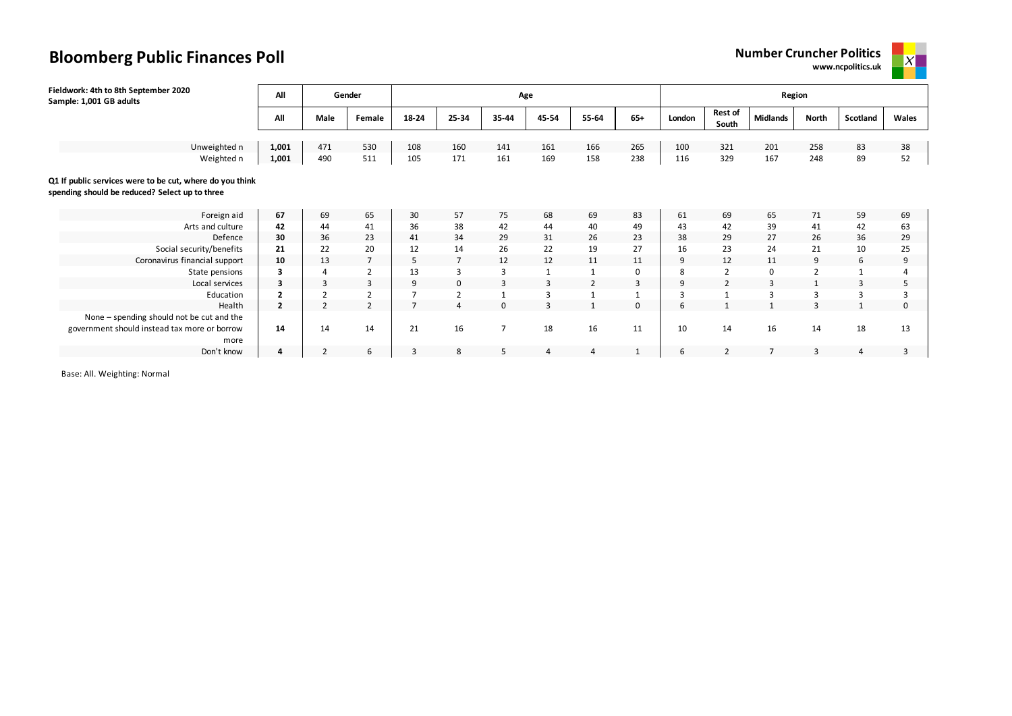



| Fieldwork: 4th to 8th September 2020<br>Sample: 1,001 GB adults                                            | All            |                | Gender         |       |                | Age            |                |                |              |        |                         | Region          |                |          |       |
|------------------------------------------------------------------------------------------------------------|----------------|----------------|----------------|-------|----------------|----------------|----------------|----------------|--------------|--------|-------------------------|-----------------|----------------|----------|-------|
|                                                                                                            | All            | Male           | Female         | 18-24 | 25-34          | 35-44          | 45-54          | 55-64          | $65+$        | London | <b>Rest of</b><br>South | <b>Midlands</b> | North          | Scotland | Wales |
| Unweighted n                                                                                               | 1,001          | 471            | 530            | 108   | 160            | 141            | 161            | 166            | 265          | 100    | 321                     | 201             | 258            | 83       | 38    |
| Weighted n                                                                                                 | 1,001          | 490            | 511            | 105   | 171            | 161            | 169            | 158            | 238          | 116    | 329                     | 167             | 248            | 89       | 52    |
| Q1 If public services were to be cut, where do you think<br>spending should be reduced? Select up to three |                |                |                |       |                |                |                |                |              |        |                         |                 |                |          |       |
| Foreign aid                                                                                                | 67             | 69             | 65             | 30    | 57             | 75             | 68             | 69             | 83           | 61     | 69                      | 65              | 71             | 59       | 69    |
| Arts and culture                                                                                           | 42             | 44             | 41             | 36    | 38             | 42             | 44             | 40             | 49           | 43     | 42                      | 39              | 41             | 42       | 63    |
| Defence                                                                                                    | 30             | 36             | 23             | 41    | 34             | 29             | 31             | 26             | 23           | 38     | 29                      | 27              | 26             | 36       | 29    |
| Social security/benefits                                                                                   | 21             | 22             | 20             | 12    | 14             | 26             | 22             | 19             | 27           | 16     | 23                      | 24              | 21             | 10       | 25    |
| Coronavirus financial support                                                                              | 10             | 13             | $\overline{7}$ | 5     | $\overline{7}$ | 12             | 12             | 11             | 11           | 9      | 12                      | 11              | 9              | 6        | 9     |
| State pensions                                                                                             | 3              | 4              | $\overline{2}$ | 13    | 3              | 3              | $\mathbf{1}$   | $\mathbf{1}$   | 0            | 8      | $\overline{2}$          | $\mathbf 0$     | $\overline{2}$ |          |       |
| Local services                                                                                             | 3              | $\overline{3}$ | 3              | 9     | 0              |                | $\overline{3}$ | $\overline{2}$ | 3            | 9      | $\overline{2}$          | 3               |                | 3        |       |
| Education                                                                                                  | $\overline{2}$ | h              | $\overline{2}$ |       |                |                | $\overline{3}$ |                |              | 3      | $\overline{ }$          | 3               |                |          |       |
| Health                                                                                                     | $\overline{2}$ | $\overline{2}$ | $\overline{2}$ |       |                |                | $\mathbf{3}$   | $\mathbf{1}$   | $\mathbf 0$  | 6      |                         |                 |                |          |       |
| None - spending should not be cut and the<br>government should instead tax more or borrow<br>more          | 14             | 14             | 14             | 21    | 16             | $\overline{7}$ | 18             | 16             | 11           | 10     | 14                      | 16              | 14             | 18       | 13    |
| Don't know                                                                                                 | 4              | $\overline{2}$ | 6              | 3     | 8              | 5              | 4              | 4              | $\mathbf{1}$ | 6      | 2                       | $\overline{7}$  | 3              | 4        |       |